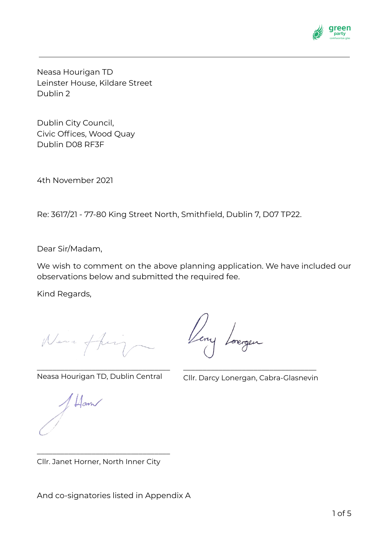

Neasa Hourigan TD Leinster House, Kildare Street Dublin 2

Dublin City Council, Civic Offices, Wood Quay Dublin D08 RF3F

4th November 2021

Re: 3617/21 - 77-80 King Street North, Smithfield, Dublin 7, D07 TP22.

Dear Sir/Madam,

We wish to comment on the above planning application. We have included our observations below and submitted the required fee.

Kind Regards,

Neve ff

\_\_\_\_\_\_\_\_\_\_\_\_\_\_\_\_\_\_\_\_\_\_\_\_\_\_\_\_\_\_\_\_\_\_ Neasa Hourigan TD, Dublin Central

\_\_\_\_\_\_\_\_\_\_\_\_\_\_\_\_\_\_\_\_\_\_\_\_\_\_\_\_\_\_\_\_\_\_ Cllr. Darcy Lonergan, Cabra-Glasnevin

Hown

Cllr. Janet Horner, North Inner City

\_\_\_\_\_\_\_\_\_\_\_\_\_\_\_\_\_\_\_\_\_\_\_\_\_\_\_\_\_\_\_\_\_\_

And co-signatories listed in Appendix A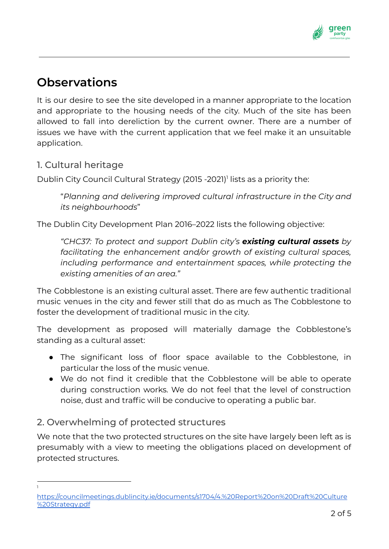

# **Observations**

It is our desire to see the site developed in a manner appropriate to the location and appropriate to the housing needs of the city. Much of the site has been allowed to fall into dereliction by the current owner. There are a number of issues we have with the current application that we feel make it an unsuitable application.

# 1. Cultural heritage

Dublin City Council Cultural Strategy (2015 -2021)<sup>1</sup> lists as a priority the:

"*Planning and delivering improved cultural infrastructure in the City and its neighbourhoods*"

The Dublin City Development Plan 2016–2022 lists the following objective:

*"CHC37: To protect and support Dublin city's existing cultural assets by facilitating the enhancement and/or growth of existing cultural spaces, including performance and entertainment spaces, while protecting the existing amenities of an area."*

The Cobblestone is an existing cultural asset. There are few authentic traditional music venues in the city and fewer still that do as much as The Cobblestone to foster the development of traditional music in the city.

The development as proposed will materially damage the Cobblestone's standing as a cultural asset:

- The significant loss of floor space available to the Cobblestone, in particular the loss of the music venue.
- We do not find it credible that the Cobblestone will be able to operate during construction works. We do not feel that the level of construction noise, dust and traffic will be conducive to operating a public bar.

# 2. Overwhelming of protected structures

We note that the two protected structures on the site have largely been left as is presumably with a view to meeting the obligations placed on development of protected structures.

1

[https://councilmeetings.dublincity.ie/documents/s1704/4.%20Report%20on%20Draft%20Culture](https://councilmeetings.dublincity.ie/documents/s1704/4.%20Report%20on%20Draft%20Culture%20Strategy.pdf) [%20Strategy.pdf](https://councilmeetings.dublincity.ie/documents/s1704/4.%20Report%20on%20Draft%20Culture%20Strategy.pdf)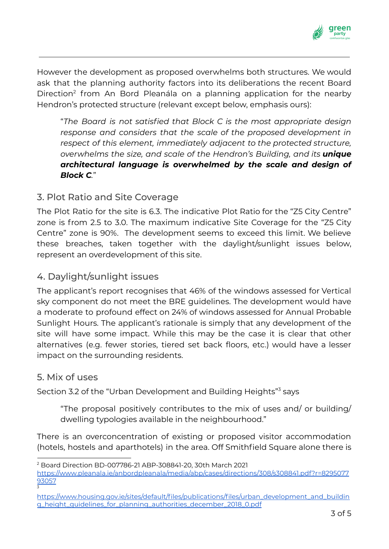

However the development as proposed overwhelms both structures. We would ask that the planning authority factors into its deliberations the recent Board Direction<sup>2</sup> from An Bord Pleanála on a planning application for the nearby Hendron's protected structure (relevant except below, emphasis ours):

"*The Board is not satisfied that Block C is the most appropriate design response and considers that the scale of the proposed development in respect of this element, immediately adjacent to the protected structure, overwhelms the size, and scale of the Hendron's Building, and its unique architectural language is overwhelmed by the scale and design of Block C.*"

## 3. Plot Ratio and Site Coverage

The Plot Ratio for the site is 6.3. The indicative Plot Ratio for the "Z5 City Centre" zone is from 2.5 to 3.0. The maximum indicative Site Coverage for the "Z5 City Centre" zone is 90%. The development seems to exceed this limit. We believe these breaches, taken together with the daylight/sunlight issues below, represent an overdevelopment of this site.

### 4. Daylight/sunlight issues

The applicant's report recognises that 46% of the windows assessed for Vertical sky component do not meet the BRE guidelines. The development would have a moderate to profound effect on 24% of windows assessed for Annual Probable Sunlight Hours. The applicant's rationale is simply that any development of the site will have some impact. While this may be the case it is clear that other alternatives (e.g. fewer stories, tiered set back floors, etc.) would have a lesser impact on the surrounding residents.

#### 5. Mix of uses

Section 3.2 of the "Urban Development and Building Heights"<sup>3</sup> says

"The proposal positively contributes to the mix of uses and/ or building/ dwelling typologies available in the neighbourhood."

There is an overconcentration of existing or proposed visitor accommodation (hotels, hostels and aparthotels) in the area. Off Smithfield Square alone there is

<sup>3</sup> <sup>2</sup> Board Direction BD-007786-21 ABP-308841-20, 30th March 2021 [https://www.pleanala.ie/anbordpleanala/media/abp/cases/directions/308/s308841.pdf?r=8295077](https://www.pleanala.ie/anbordpleanala/media/abp/cases/directions/308/s308841.pdf?r=829507793057) [93057](https://www.pleanala.ie/anbordpleanala/media/abp/cases/directions/308/s308841.pdf?r=829507793057)

[https://www.housing.gov.ie/sites/default/files/publications/files/urban\\_development\\_and\\_buildin](https://www.housing.gov.ie/sites/default/files/publications/files/urban_development_and_building_height_guidelines_for_planning_authorities_december_2018_0.pdf) [g\\_height\\_guidelines\\_for\\_planning\\_authorities\\_december\\_2018\\_0.pdf](https://www.housing.gov.ie/sites/default/files/publications/files/urban_development_and_building_height_guidelines_for_planning_authorities_december_2018_0.pdf)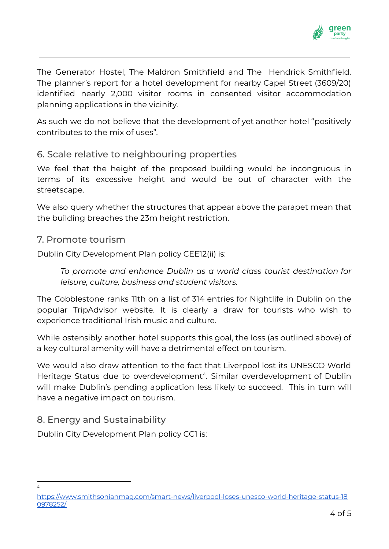

The Generator Hostel, The Maldron Smithfield and The Hendrick Smithfield. The planner's report for a hotel development for nearby Capel Street (3609/20) identified nearly 2,000 visitor rooms in consented visitor accommodation planning applications in the vicinity.

As such we do not believe that the development of yet another hotel "positively contributes to the mix of uses".

### 6. Scale relative to neighbouring properties

We feel that the height of the proposed building would be incongruous in terms of its excessive height and would be out of character with the streetscape.

We also query whether the structures that appear above the parapet mean that the building breaches the 23m height restriction.

#### 7. Promote tourism

Dublin City Development Plan policy CEE12(ii) is:

*To promote and enhance Dublin as a world class tourist destination for leisure, culture, business and student visitors.*

The Cobblestone ranks 11th on a list of 314 entries for Nightlife in Dublin on the popular TripAdvisor website. It is clearly a draw for tourists who wish to experience traditional Irish music and culture.

While ostensibly another hotel supports this goal, the loss (as outlined above) of a key cultural amenity will have a detrimental effect on tourism.

We would also draw attention to the fact that Liverpool lost its UNESCO World Heritage Status due to overdevelopment<sup>4</sup>. Similar overdevelopment of Dublin will make Dublin's pending application less likely to succeed. This in turn will have a negative impact on tourism.

# 8. Energy and Sustainability

4

Dublin City Development Plan policy CC1 is:

[https://www.smithsonianmag.com/smart-news/liverpool-loses-unesco-world-heritage-status-18](https://www.smithsonianmag.com/smart-news/liverpool-loses-unesco-world-heritage-status-180978252/) [0978252/](https://www.smithsonianmag.com/smart-news/liverpool-loses-unesco-world-heritage-status-180978252/)